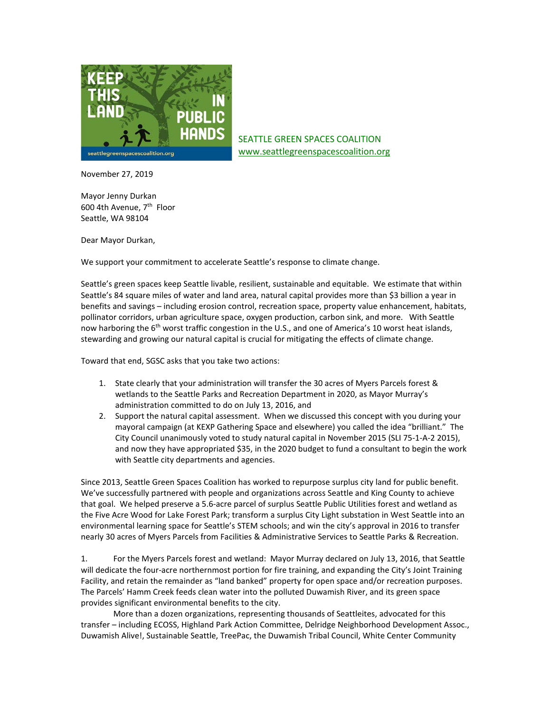

SEATTLE GREEN SPACES COALITION [www.seattlegreenspacescoalition.org](http://www.seattlegreenspacescoalition.org/)

November 27, 2019

Mayor Jenny Durkan 600 4th Avenue, 7th Floor Seattle, WA 98104

Dear Mayor Durkan,

We support your commitment to accelerate Seattle's response to climate change.

Seattle's green spaces keep Seattle livable, resilient, sustainable and equitable. We estimate that within Seattle's 84 square miles of water and land area, natural capital provides more than \$3 billion a year in benefits and savings – including erosion control, recreation space, property value enhancement, habitats, pollinator corridors, urban agriculture space, oxygen production, carbon sink, and more. With Seattle now harboring the 6<sup>th</sup> worst traffic congestion in the U.S., and one of America's 10 worst heat islands, stewarding and growing our natural capital is crucial for mitigating the effects of climate change.

Toward that end, SGSC asks that you take two actions:

- 1. State clearly that your administration will transfer the 30 acres of Myers Parcels forest & wetlands to the Seattle Parks and Recreation Department in 2020, as Mayor Murray's administration committed to do on July 13, 2016, and
- 2. Support the natural capital assessment. When we discussed this concept with you during your mayoral campaign (at KEXP Gathering Space and elsewhere) you called the idea "brilliant." The City Council unanimously voted to study natural capital in November 2015 (SLI 75-1-A-2 2015), and now they have appropriated \$35, in the 2020 budget to fund a consultant to begin the work with Seattle city departments and agencies.

Since 2013, Seattle Green Spaces Coalition has worked to repurpose surplus city land for public benefit. We've successfully partnered with people and organizations across Seattle and King County to achieve that goal. We helped preserve a 5.6-acre parcel of surplus Seattle Public Utilities forest and wetland as the Five Acre Wood for Lake Forest Park; transform a surplus City Light substation in West Seattle into an environmental learning space for Seattle's STEM schools; and win the city's approval in 2016 to transfer nearly 30 acres of Myers Parcels from Facilities & Administrative Services to Seattle Parks & Recreation.

1. For the Myers Parcels forest and wetland: Mayor Murray declared on July 13, 2016, that Seattle will dedicate the four-acre northernmost portion for fire training, and expanding the City's Joint Training Facility, and retain the remainder as "land banked" property for open space and/or recreation purposes. The Parcels' Hamm Creek feeds clean water into the polluted Duwamish River, and its green space provides significant environmental benefits to the city.

More than a dozen organizations, representing thousands of Seattleites, advocated for this transfer – including ECOSS, Highland Park Action Committee, Delridge Neighborhood Development Assoc., Duwamish Alive!, Sustainable Seattle, TreePac, the Duwamish Tribal Council, White Center Community